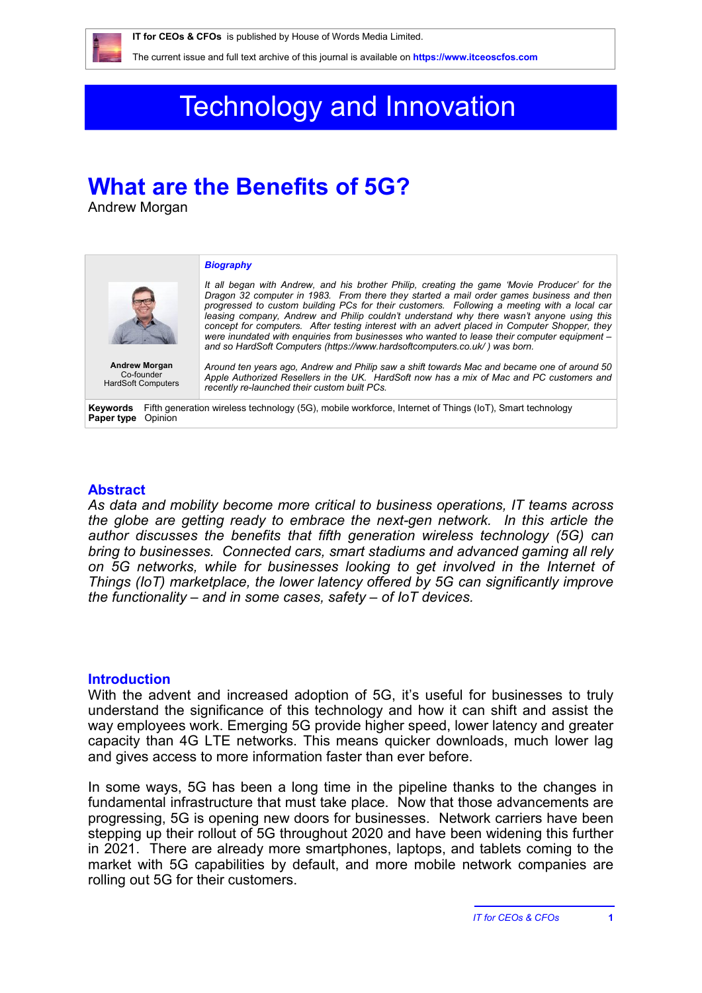

The current issue and full text archive of this journal is available on **<https://www.itceoscfos.com>** 

# Technology and Innovation

## **What are the Benefits of 5G?**

Andrew Morgan

|                                                                                                                                              | <b>Biography</b>                                                                                                                                                                                                                                                                                                                                                                                                                                                                                                                                                                                                                                                    |
|----------------------------------------------------------------------------------------------------------------------------------------------|---------------------------------------------------------------------------------------------------------------------------------------------------------------------------------------------------------------------------------------------------------------------------------------------------------------------------------------------------------------------------------------------------------------------------------------------------------------------------------------------------------------------------------------------------------------------------------------------------------------------------------------------------------------------|
|                                                                                                                                              | It all began with Andrew, and his brother Philip, creating the game 'Movie Producer' for the<br>Dragon 32 computer in 1983. From there they started a mail order games business and then<br>progressed to custom building PCs for their customers. Following a meeting with a local car<br>leasing company. Andrew and Philip couldn't understand why there wasn't anyone using this<br>concept for computers. After testing interest with an advert placed in Computer Shopper, they<br>were inundated with enguiries from businesses who wanted to lease their computer equipment -<br>and so HardSoft Computers (https://www.hardsoftcomputers.co.uk/) was born. |
| <b>Andrew Morgan</b><br>Co-founder<br><b>HardSoft Computers</b>                                                                              | Around ten years ago, Andrew and Philip saw a shift towards Mac and became one of around 50<br>Apple Authorized Resellers in the UK. HardSoft now has a mix of Mac and PC customers and<br>recently re-launched their custom built PCs.                                                                                                                                                                                                                                                                                                                                                                                                                             |
| Fifth generation wireless technology (5G), mobile workforce, Internet of Things (IoT), Smart technology<br>Kevwords<br>Opinion<br>Paper type |                                                                                                                                                                                                                                                                                                                                                                                                                                                                                                                                                                                                                                                                     |

#### **Abstract**

*As data and mobility become more critical to business operations, IT teams across the globe are getting ready to embrace the next-gen network. In this article the author discusses the benefits that fifth generation wireless technology (5G) can bring to businesses. Connected cars, smart stadiums and advanced gaming all rely on 5G networks, while for businesses looking to get involved in the Internet of Things (IoT) marketplace, the lower latency offered by 5G can significantly improve the functionality – and in some cases, safety – of IoT devices.*

#### **Introduction**

With the advent and increased adoption of 5G, it's useful for businesses to truly understand the significance of this technology and how it can shift and assist the way employees work. Emerging 5G provide higher speed, lower latency and greater capacity than 4G LTE networks. This means quicker downloads, much lower lag and gives access to more information faster than ever before.

In some ways, 5G has been a long time in the pipeline thanks to the changes in fundamental infrastructure that must take place. Now that those advancements are progressing, 5G is opening new doors for businesses. Network carriers have been stepping up their rollout of 5G throughout 2020 and have been widening this further in 2021. There are already more smartphones, laptops, and tablets coming to the market with 5G capabilities by default, and more mobile network companies are rolling out 5G for their customers.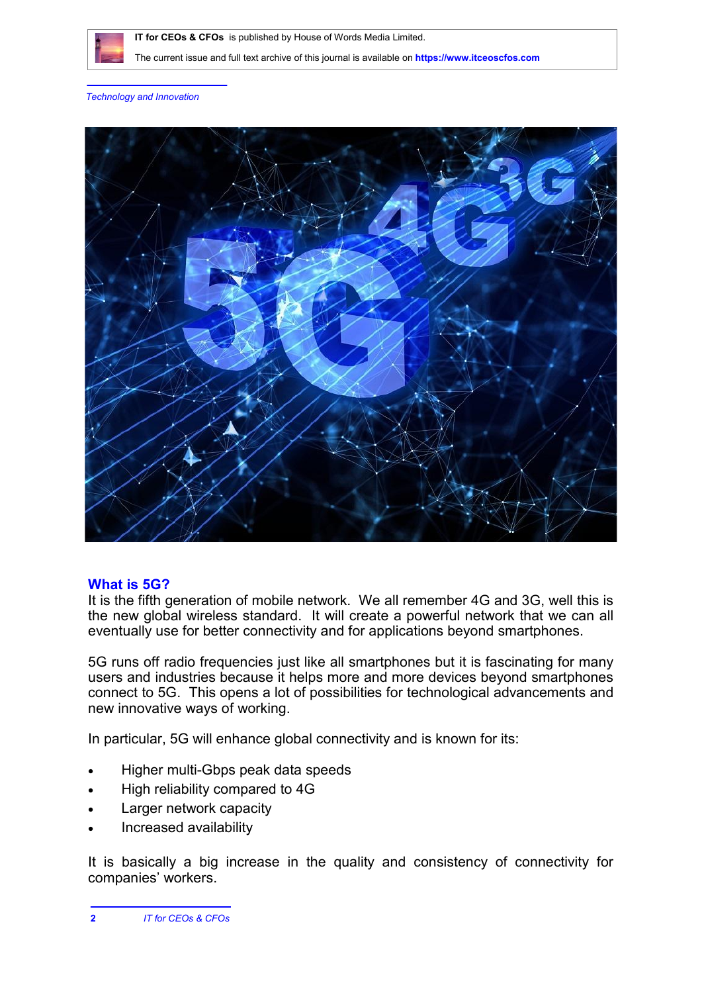

 **IT for CEOs & CFOs** is published by House of Words Media Limited.

The current issue and full text archive of this journal is available on **<https://www.itceoscfos.com>** 

*Technology and Innovation*



#### **What is 5G?**

It is the fifth generation of mobile network. We all remember 4G and 3G, well this is the new global wireless standard. It will create a powerful network that we can all eventually use for better connectivity and for applications beyond smartphones.

5G runs off radio frequencies just like all smartphones but it is fascinating for many users and industries because it helps more and more devices beyond smartphones connect to 5G. This opens a lot of possibilities for technological advancements and new innovative ways of working.

In particular, 5G will enhance global connectivity and is known for its:

- Higher multi-Gbps peak data speeds
- High reliability compared to 4G
- Larger network capacity
- Increased availability

It is basically a big increase in the quality and consistency of connectivity for companies' workers.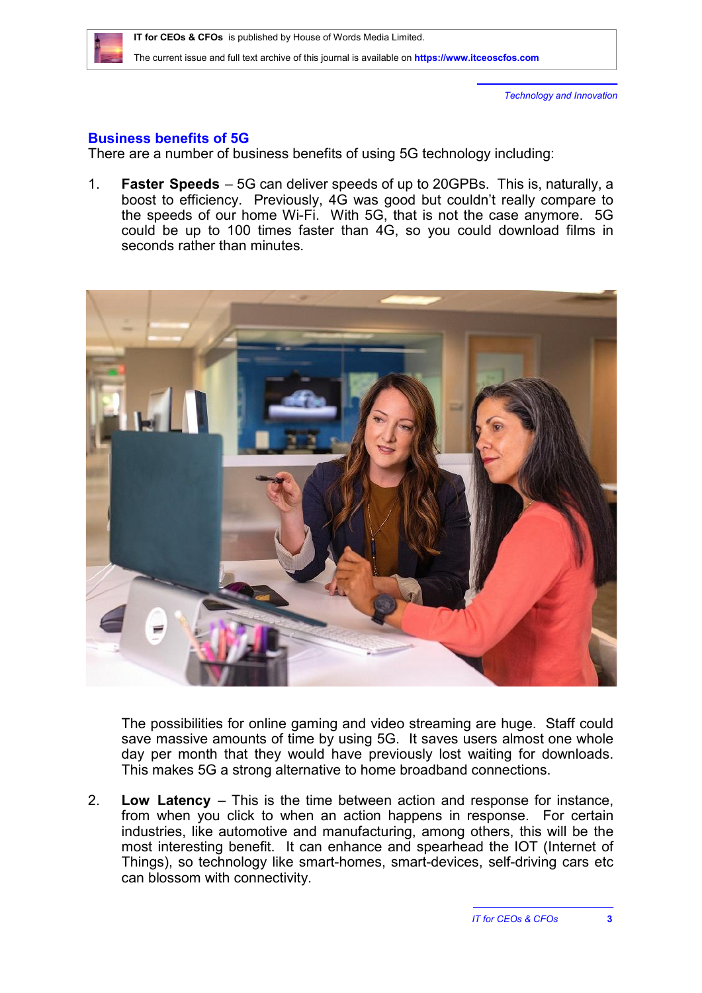

*Technology and Innovation*

### **Business benefits of 5G**

There are a number of business benefits of using 5G technology including:

1. **Faster Speeds** – 5G can deliver speeds of up to 20GPBs. This is, naturally, a boost to efficiency. Previously, 4G was good but couldn't really compare to the speeds of our home Wi-Fi. With 5G, that is not the case anymore. 5G could be up to 100 times faster than 4G, so you could download films in seconds rather than minutes.



The possibilities for online gaming and video streaming are huge. Staff could save massive amounts of time by using 5G. It saves users almost one whole day per month that they would have previously lost waiting for downloads. This makes 5G a strong alternative to home broadband connections.

2. **Low Latency** – This is the time between action and response for instance, from when you click to when an action happens in response. For certain industries, like automotive and manufacturing, among others, this will be the most interesting benefit. It can enhance and spearhead the IOT (Internet of Things), so technology like smart-homes, smart-devices, self-driving cars etc can blossom with connectivity.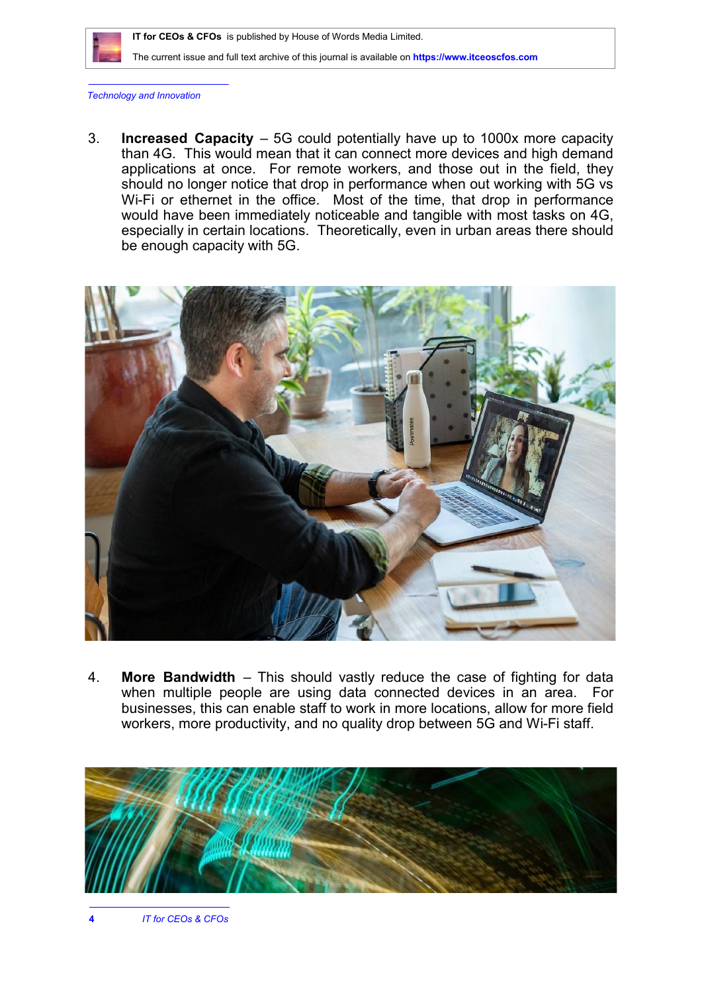

 **IT for CEOs & CFOs** is published by House of Words Media Limited.

The current issue and full text archive of this journal is available on **<https://www.itceoscfos.com>** 

*Technology and Innovation*

3. **Increased Capacity** – 5G could potentially have up to 1000x more capacity than 4G. This would mean that it can connect more devices and high demand applications at once. For remote workers, and those out in the field, they should no longer notice that drop in performance when out working with 5G vs Wi-Fi or ethernet in the office. Most of the time, that drop in performance would have been immediately noticeable and tangible with most tasks on 4G, especially in certain locations. Theoretically, even in urban areas there should be enough capacity with 5G.



4. **More Bandwidth** – This should vastly reduce the case of fighting for data when multiple people are using data connected devices in an area. For businesses, this can enable staff to work in more locations, allow for more field workers, more productivity, and no quality drop between 5G and Wi-Fi staff.